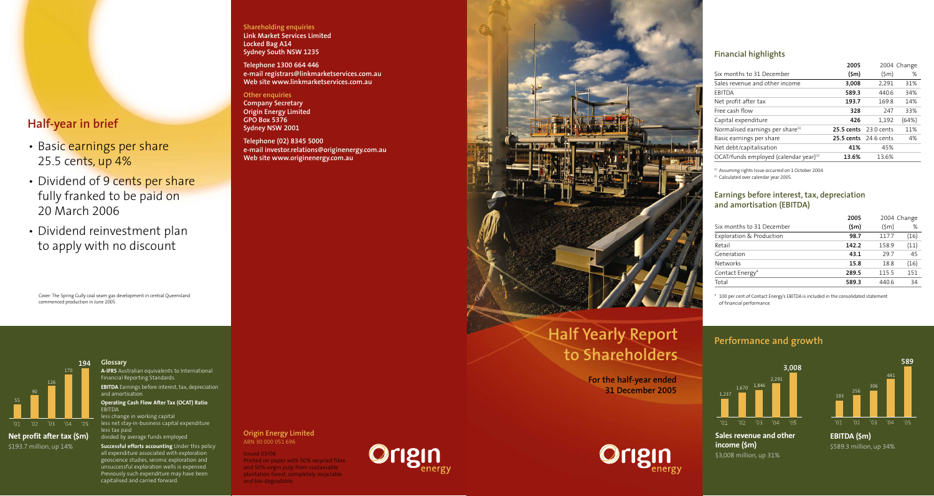# **Half-year in brief**

- Basic earnings per share 25.5 cents, up 4%
- Dividend of 9 cents per share fully franked to be paid on 20 March 2006
- Dividend rein vestmen t plan to apply with no discoun t

Cover:The Spring Gully coal seam gas de velopmen t in central Queensland commenced production in June 2005.

#### **Glossar y A-IFR S** Australian equivalents to International Financial Reporting Standards. **EBITDA** Earnings before interest, tax, depreciation and amortisation. **Oper ating Cash Flow A fter Tax (OCAT) R atio EBITDA** 90 126 170 **194**

less change in working capital less net sta y-in-business capital expenditur e less tax paid divided by a verage funds emplo yed **Net pr ofit after tax (\$m)**



**Suc cessful efforts ac counting** Under this policy all expenditure associated with explor ation geoscience studies , seismic explor ation and unsuccessful explor ation wells is expensed. Pr eviously such expenditure may ha ve been capitalised and carried for ward.

#### **Shareholding enquiries Link Market Services Limited Locked Bag A14 Sydney South NSW 1235**

**Telephone 1300 664 446 e-mail registrars@linkmarketservices.com.au Web site www.linkmarketservices.com.au**

#### **Other enquiries**

**Company Secretar y Origin Ener gy Limited GPO Box 5376 Sydney NSW 2001**

#### **Telephone (02) 8345 5000 e-mail in vestor.relations@originenergy.com.au Web site www.originenergy.com.au**



# **Half Yearly Repor t to Shareholders**

**For the half-year ended 31 December 2005**

| <b>Financial highlights</b>                                                                                                                                                                        |                 |                 |             |  |
|----------------------------------------------------------------------------------------------------------------------------------------------------------------------------------------------------|-----------------|-----------------|-------------|--|
|                                                                                                                                                                                                    | 2005            |                 | 2004 Change |  |
| Six months to 31 December                                                                                                                                                                          | $(\mathsf{5m})$ | $(\mathsf{5m})$ | %           |  |
| Sales revenue and other income                                                                                                                                                                     | 3,008           | 2,291           | 31%         |  |
| <b>FBITDA</b>                                                                                                                                                                                      | 589.3           | 440.6           | 34%         |  |
| Net profit after tax                                                                                                                                                                               | 193.7           | 169.8           | 14%         |  |
| Free cash flow                                                                                                                                                                                     | 328             | 247             | 33%         |  |
| Capital expenditure                                                                                                                                                                                | 426             | 1,192           | (64%)       |  |
| Normalised earnings per share <sup>(1)</sup>                                                                                                                                                       | 25.5 cents      | $23.0$ cents    | 11%         |  |
| Basic earnings per share                                                                                                                                                                           | 25.5 cents      | 24.6 cents      | 4%          |  |
| Net debt/capitalisation                                                                                                                                                                            | 41%             | 45%             |             |  |
| OCAT/funds employed (calendar year) <sup>(2)</sup>                                                                                                                                                 | 13.6%           | 13.6%           |             |  |
| <sup>(1)</sup> Assuming rights Issue occurred on 1 October 2004.<br><sup>(2)</sup> Calculated over calendar year 2005.<br>Earnings before interest, tax, depreciation<br>and amortisation (EBITDA) |                 |                 |             |  |
|                                                                                                                                                                                                    | 2005            |                 | 2004 Change |  |
| Six months to 31 December                                                                                                                                                                          | $(\mathsf{5m})$ | $(\mathsf{5m})$ | %           |  |
| Exploration & Production                                                                                                                                                                           | 98.7            | 117.7           | (16)        |  |
| Retail                                                                                                                                                                                             | 142.2           | 158.9           | (11)        |  |
| Generation                                                                                                                                                                                         | 43.1            | 29.7            | 45          |  |
| Networks                                                                                                                                                                                           | 15.8            | 18.8            | (16)        |  |
| Contact Energy*                                                                                                                                                                                    | 289.5           | 115.5           | 151         |  |
| Total                                                                                                                                                                                              | 589.3           | 440.6           | 34          |  |

### **Earnings before interest, tax, depreciation and amortisation (EBITDA)**

| 2005<br>2004 Change |                 |      |
|---------------------|-----------------|------|
| $(\mathsf{5m})$     | $(\mathsf{5m})$ | %    |
| 98.7                | 117.7           | (16) |
| 142.2               | 158.9           | (11) |
| 43.1                | 29.7            | 45   |
| 15.8                | 18.8            | (16) |
| 289.5               | 115.5           | 151  |
| 589.3               | 440.6           | 34   |
|                     |                 |      |

 $^\ast$  100 per cent of Contact Energy's EBITDA is included in the consolidated statement of financial per formance.

### **Performance and growth**





**Sales revenue and other income (\$m)** \$3 ,008 million, up 31%



**EBITDA (\$m)** \$589.3 million, up 34%

#### **Origin Ener gy Limited** ABN 30 000 051 696

Issued 03 /06 Printed on paper with 50% recycled fibr e and 50% virgin pulp from sustainable plantation forest, completely recyclable



Per<br> **and bio-degrade.**<br>
And **Discremental Structure**<br>
Origin Energy Limited<br>
And 30 sounds in Structure<br>
And Bio-degrade.<br>
And Bio-degrade.<br>
And Bio-degrade.<br>
And Discrementation (exceed three **Origin Energy** state of the